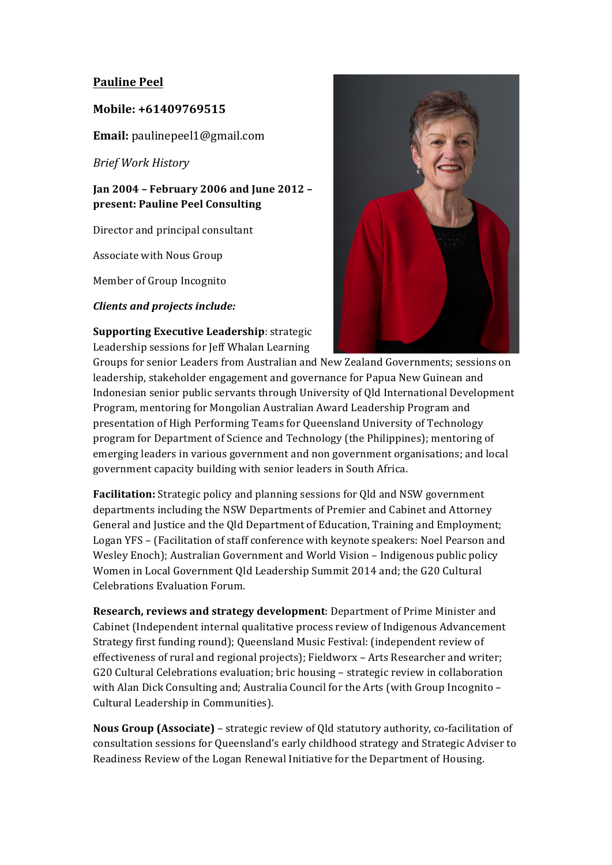# **Pauline Peel**

### **Mobile: +61409769515**

**Email:** paulinepeel1@gmail.com

*Brief Work History*

# **Jan 2004 – February 2006 and June 2012 – present: Pauline Peel Consulting**

Director and principal consultant

Associate with Nous Group

Member of Group Incognito

*Clients and projects include:*

## **Supporting Executive Leadership:** strategic Leadership sessions for Jeff Whalan Learning



Groups for senior Leaders from Australian and New Zealand Governments; sessions on leadership, stakeholder engagement and governance for Papua New Guinean and Indonesian senior public servants through University of Qld International Development Program, mentoring for Mongolian Australian Award Leadership Program and presentation of High Performing Teams for Queensland University of Technology program for Department of Science and Technology (the Philippines); mentoring of emerging leaders in various government and non government organisations; and local government capacity building with senior leaders in South Africa.

**Facilitation:** Strategic policy and planning sessions for Qld and NSW government departments including the NSW Departments of Premier and Cabinet and Attorney General and Justice and the Qld Department of Education, Training and Employment; Logan YFS – (Facilitation of staff conference with keynote speakers: Noel Pearson and Wesley Enoch); Australian Government and World Vision – Indigenous public policy Women in Local Government Qld Leadership Summit 2014 and; the G20 Cultural Celebrations Evaluation Forum.

**Research, reviews and strategy development:** Department of Prime Minister and Cabinet (Independent internal qualitative process review of Indigenous Advancement Strategy first funding round); Queensland Music Festival: (independent review of effectiveness of rural and regional projects); Fieldworx - Arts Researcher and writer; G20 Cultural Celebrations evaluation; bric housing – strategic review in collaboration with Alan Dick Consulting and; Australia Council for the Arts (with Group Incognito – Cultural Leadership in Communities).

**Nous Group (Associate)** – strategic review of Qld statutory authority, co-facilitation of consultation sessions for Queensland's early childhood strategy and Strategic Adviser to Readiness Review of the Logan Renewal Initiative for the Department of Housing.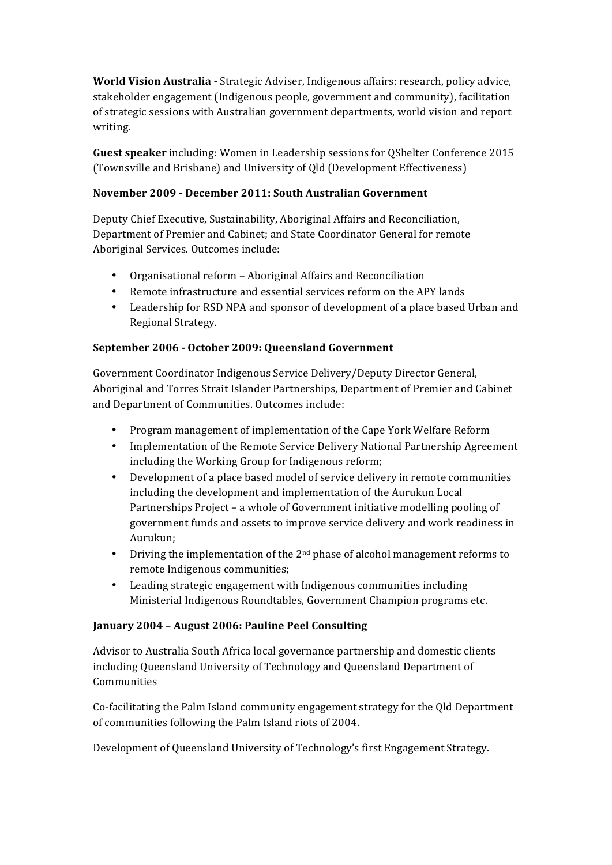**World Vision Australia - Strategic Adviser, Indigenous affairs: research, policy advice,** stakeholder engagement (Indigenous people, government and community), facilitation of strategic sessions with Australian government departments, world vision and report writing.

**Guest speaker** including: Women in Leadership sessions for OShelter Conference 2015 (Townsville and Brisbane) and University of Qld (Development Effectiveness)

## **November 2009 - December 2011: South Australian Government**

Deputy Chief Executive, Sustainability, Aboriginal Affairs and Reconciliation, Department of Premier and Cabinet; and State Coordinator General for remote Aboriginal Services. Outcomes include:

- Organisational reform Aboriginal Affairs and Reconciliation
- Remote infrastructure and essential services reform on the APY lands
- Leadership for RSD NPA and sponsor of development of a place based Urban and Regional Strategy.

#### **September 2006 - October 2009: Queensland Government**

Government Coordinator Indigenous Service Delivery/Deputy Director General, Aboriginal and Torres Strait Islander Partnerships, Department of Premier and Cabinet and Department of Communities. Outcomes include:

- Program management of implementation of the Cape York Welfare Reform
- Implementation of the Remote Service Delivery National Partnership Agreement including the Working Group for Indigenous reform;
- Development of a place based model of service delivery in remote communities including the development and implementation of the Aurukun Local Partnerships Project - a whole of Government initiative modelling pooling of government funds and assets to improve service delivery and work readiness in Aurukun;
- Driving the implementation of the  $2^{nd}$  phase of alcohol management reforms to remote Indigenous communities;
- Leading strategic engagement with Indigenous communities including Ministerial Indigenous Roundtables, Government Champion programs etc.

#### **January 2004 – August 2006: Pauline Peel Consulting**

Advisor to Australia South Africa local governance partnership and domestic clients including Queensland University of Technology and Queensland Department of **Communities** 

Co-facilitating the Palm Island community engagement strategy for the Qld Department of communities following the Palm Island riots of 2004.

Development of Queensland University of Technology's first Engagement Strategy.